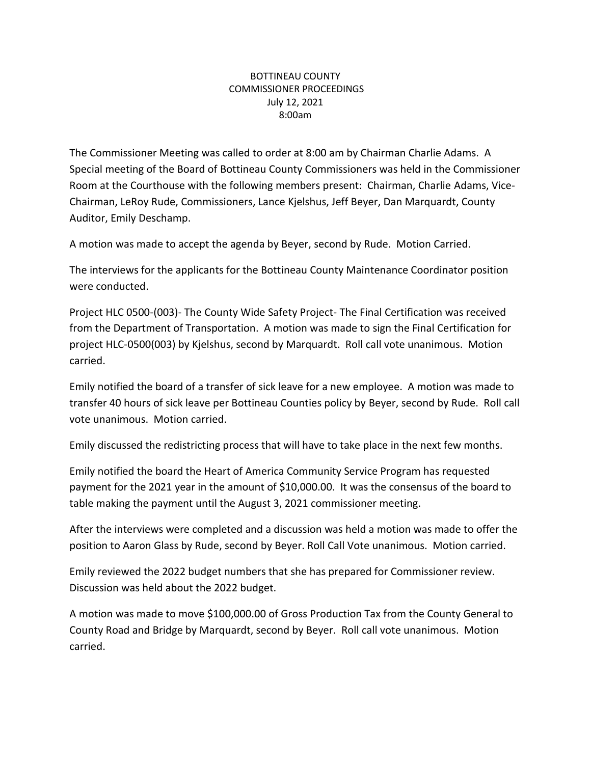## BOTTINEAU COUNTY COMMISSIONER PROCEEDINGS July 12, 2021 8:00am

The Commissioner Meeting was called to order at 8:00 am by Chairman Charlie Adams. A Special meeting of the Board of Bottineau County Commissioners was held in the Commissioner Room at the Courthouse with the following members present: Chairman, Charlie Adams, Vice-Chairman, LeRoy Rude, Commissioners, Lance Kjelshus, Jeff Beyer, Dan Marquardt, County Auditor, Emily Deschamp.

A motion was made to accept the agenda by Beyer, second by Rude. Motion Carried.

The interviews for the applicants for the Bottineau County Maintenance Coordinator position were conducted.

Project HLC 0500-(003)- The County Wide Safety Project- The Final Certification was received from the Department of Transportation. A motion was made to sign the Final Certification for project HLC-0500(003) by Kjelshus, second by Marquardt. Roll call vote unanimous. Motion carried.

Emily notified the board of a transfer of sick leave for a new employee. A motion was made to transfer 40 hours of sick leave per Bottineau Counties policy by Beyer, second by Rude. Roll call vote unanimous. Motion carried.

Emily discussed the redistricting process that will have to take place in the next few months.

Emily notified the board the Heart of America Community Service Program has requested payment for the 2021 year in the amount of \$10,000.00. It was the consensus of the board to table making the payment until the August 3, 2021 commissioner meeting.

After the interviews were completed and a discussion was held a motion was made to offer the position to Aaron Glass by Rude, second by Beyer. Roll Call Vote unanimous. Motion carried.

Emily reviewed the 2022 budget numbers that she has prepared for Commissioner review. Discussion was held about the 2022 budget.

A motion was made to move \$100,000.00 of Gross Production Tax from the County General to County Road and Bridge by Marquardt, second by Beyer. Roll call vote unanimous. Motion carried.